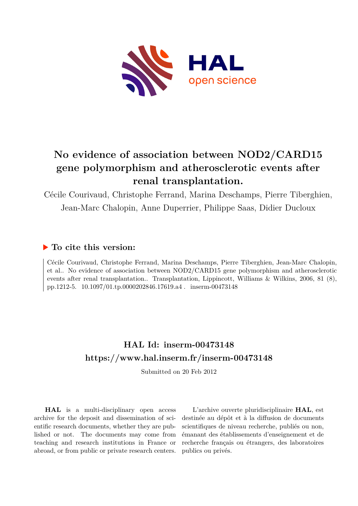

# **No evidence of association between NOD2/CARD15 gene polymorphism and atherosclerotic events after renal transplantation.**

Cécile Courivaud, Christophe Ferrand, Marina Deschamps, Pierre Tiberghien, Jean-Marc Chalopin, Anne Duperrier, Philippe Saas, Didier Ducloux

## **To cite this version:**

Cécile Courivaud, Christophe Ferrand, Marina Deschamps, Pierre Tiberghien, Jean-Marc Chalopin, et al.. No evidence of association between NOD2/CARD15 gene polymorphism and atherosclerotic events after renal transplantation.. Transplantation, Lippincott, Williams & Wilkins, 2006, 81 (8), pp.1212-5. 10.1097/01.tp.0000202846.17619.a4. inserm-00473148

# **HAL Id: inserm-00473148 <https://www.hal.inserm.fr/inserm-00473148>**

Submitted on 20 Feb 2012

**HAL** is a multi-disciplinary open access archive for the deposit and dissemination of scientific research documents, whether they are published or not. The documents may come from teaching and research institutions in France or abroad, or from public or private research centers.

L'archive ouverte pluridisciplinaire **HAL**, est destinée au dépôt et à la diffusion de documents scientifiques de niveau recherche, publiés ou non, émanant des établissements d'enseignement et de recherche français ou étrangers, des laboratoires publics ou privés.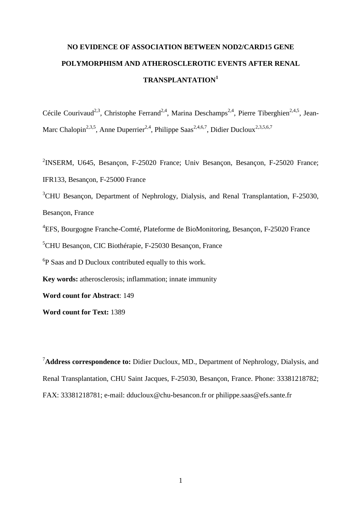# **NO EVIDENCE OF ASSOCIATION BETWEEN NOD2/CARD15 GENE POLYMORPHISM AND ATHEROSCLEROTIC EVENTS AFTER RENAL TRANSPLANTATION<sup>1</sup>**

Cécile Courivaud<sup>2,3</sup>, Christophe Ferrand<sup>2,4</sup>, Marina Deschamps<sup>2,4</sup>, Pierre Tiberghien<sup>2,4,5</sup>, Jean-Marc Chalopin<sup>2,3,5</sup>, Anne Duperrier<sup>2,4</sup>, Philippe Saas<sup>2,4,6,7</sup>, Didier Ducloux<sup>2,3,5,6,7</sup>

<sup>2</sup>INSERM, U645, Besançon, F-25020 France; Univ Besançon, Besançon, F-25020 France; IFR133, Besançon, F-25000 France <sup>3</sup>CHU Besancon, Department of Nephrology, Dialysis, and Renal Transplantation, F-25030, Besançon, France 4 EFS, Bourgogne Franche-Comté, Plateforme de BioMonitoring, Besançon, F-25020 France <sup>5</sup>CHU Besançon, CIC Biothérapie, F-25030 Besançon, France <sup>6</sup>P Saas and D Ducloux contributed equally to this work. **Key words:** atherosclerosis; inflammation; innate immunity **Word count for Abstract**: 149 **Word count for Text:** 1389

<sup>7</sup>**Address correspondence to:** Didier Ducloux, MD., Department of Nephrology, Dialysis, and Renal Transplantation, CHU Saint Jacques, F-25030, Besançon, France. Phone: 33381218782; FAX: 33381218781; e-mail: dducloux@chu-besancon.fr or philippe.saas@efs.sante.fr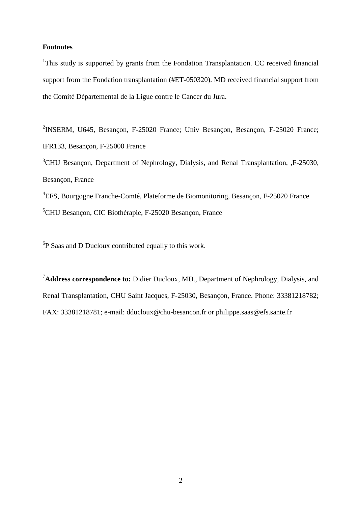#### **Footnotes**

<sup>1</sup>This study is supported by grants from the Fondation Transplantation. CC received financial support from the Fondation transplantation (#ET-050320). MD received financial support from the Comité Départemental de la Ligue contre le Cancer du Jura.

<sup>2</sup>INSERM, U645, Besançon, F-25020 France; Univ Besançon, Besançon, F-25020 France; IFR133, Besançon, F-25000 France <sup>3</sup>CHU Besancon, Department of Nephrology, Dialysis, and Renal Transplantation, F-25030, Besançon, France

4 EFS, Bourgogne Franche-Comté, Plateforme de Biomonitoring, Besançon, F-25020 France <sup>5</sup>CHU Besançon, CIC Biothérapie, F-25020 Besançon, France

 ${}^{6}P$  Saas and D Ducloux contributed equally to this work.

<sup>7</sup>**Address correspondence to:** Didier Ducloux, MD., Department of Nephrology, Dialysis, and Renal Transplantation, CHU Saint Jacques, F-25030, Besançon, France. Phone: 33381218782; FAX: 33381218781; e-mail: dducloux@chu-besancon.fr or philippe.saas@efs.sante.fr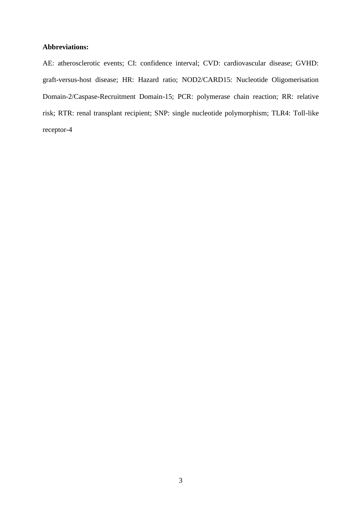#### **Abbreviations:**

AE: atherosclerotic events; CI: confidence interval; CVD: cardiovascular disease; GVHD: graft-versus-host disease; HR: Hazard ratio; NOD2/CARD15: Nucleotide Oligomerisation Domain-2/Caspase-Recruitment Domain-15; PCR: polymerase chain reaction; RR: relative risk; RTR: renal transplant recipient; SNP: single nucleotide polymorphism; TLR4: Toll-like receptor-4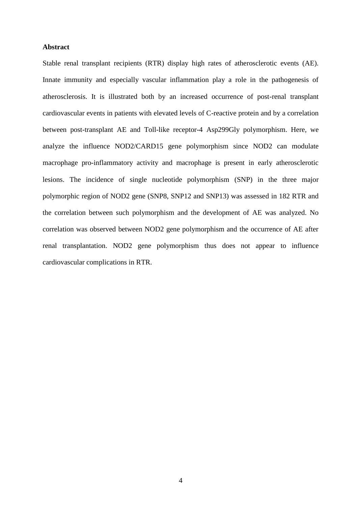#### **Abstract**

Stable renal transplant recipients (RTR) display high rates of atherosclerotic events (AE). Innate immunity and especially vascular inflammation play a role in the pathogenesis of atherosclerosis. It is illustrated both by an increased occurrence of post-renal transplant cardiovascular events in patients with elevated levels of C-reactive protein and by a correlation between post-transplant AE and Toll-like receptor-4 Asp299Gly polymorphism. Here, we analyze the influence NOD2/CARD15 gene polymorphism since NOD2 can modulate macrophage pro-inflammatory activity and macrophage is present in early atherosclerotic lesions. The incidence of single nucleotide polymorphism (SNP) in the three major polymorphic region of NOD2 gene (SNP8, SNP12 and SNP13) was assessed in 182 RTR and the correlation between such polymorphism and the development of AE was analyzed. No correlation was observed between NOD2 gene polymorphism and the occurrence of AE after renal transplantation. NOD2 gene polymorphism thus does not appear to influence cardiovascular complications in RTR.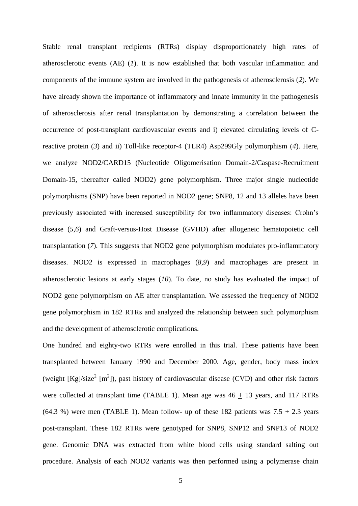Stable renal transplant recipients (RTRs) display disproportionately high rates of atherosclerotic events (AE) (*1*). It is now established that both vascular inflammation and components of the immune system are involved in the pathogenesis of atherosclerosis (*2*). We have already shown the importance of inflammatory and innate immunity in the pathogenesis of atherosclerosis after renal transplantation by demonstrating a correlation between the occurrence of post-transplant cardiovascular events and i) elevated circulating levels of Creactive protein (*3*) and ii) Toll-like receptor-4 (TLR4) Asp299Gly polymorphism (*4*). Here, we analyze NOD2/CARD15 (Nucleotide Oligomerisation Domain-2/Caspase-Recruitment Domain-15, thereafter called NOD2) gene polymorphism. Three major single nucleotide polymorphisms (SNP) have been reported in NOD2 gene; SNP8, 12 and 13 alleles have been previously associated with increased susceptibility for two inflammatory diseases: Crohn's disease (*5,6*) and Graft-versus-Host Disease (GVHD) after allogeneic hematopoietic cell transplantation (*7*). This suggests that NOD2 gene polymorphism modulates pro-inflammatory diseases. NOD2 is expressed in macrophages (*8,9*) and macrophages are present in atherosclerotic lesions at early stages (*10*). To date, no study has evaluated the impact of NOD2 gene polymorphism on AE after transplantation. We assessed the frequency of NOD2 gene polymorphism in 182 RTRs and analyzed the relationship between such polymorphism and the development of atherosclerotic complications.

One hundred and eighty-two RTRs were enrolled in this trial. These patients have been transplanted between January 1990 and December 2000. Age, gender, body mass index (weight  $[Kg]/size^2$  [m<sup>2</sup>]), past history of cardiovascular disease (CVD) and other risk factors were collected at transplant time (TABLE 1). Mean age was  $46 \pm 13$  years, and 117 RTRs  $(64.3 \%)$  were men (TABLE 1). Mean follow- up of these 182 patients was  $7.5 + 2.3$  years post-transplant. These 182 RTRs were genotyped for SNP8, SNP12 and SNP13 of NOD2 gene. Genomic DNA was extracted from white blood cells using standard salting out procedure. Analysis of each NOD2 variants was then performed using a polymerase chain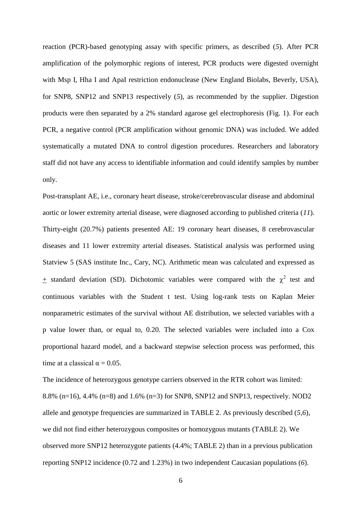reaction (PCR)-based genotyping assay with specific primers, as described (*5*). After PCR amplification of the polymorphic regions of interest, PCR products were digested overnight with Msp I, Hha I and ApaI restriction endonuclease (New England Biolabs, Beverly, USA), for SNP8, SNP12 and SNP13 respectively (*5*), as recommended by the supplier. Digestion products were then separated by a 2% standard agarose gel electrophoresis (Fig. 1). For each PCR, a negative control (PCR amplification without genomic DNA) was included. We added systematically a mutated DNA to control digestion procedures. Researchers and laboratory staff did not have any access to identifiable information and could identify samples by number only.

Post-transplant AE, i.e., coronary heart disease, stroke/cerebrovascular disease and abdominal aortic or lower extremity arterial disease, were diagnosed according to published criteria (*11*). Thirty-eight (20.7%) patients presented AE: 19 coronary heart diseases, 8 cerebrovascular diseases and 11 lower extremity arterial diseases. Statistical analysis was performed using Statview 5 (SAS institute Inc., Cary, NC). Arithmetic mean was calculated and expressed as  $\pm$  standard deviation (SD). Dichotomic variables were compared with the  $\chi^2$  test and continuous variables with the Student t test. Using log-rank tests on Kaplan Meier nonparametric estimates of the survival without AE distribution, we selected variables with a p value lower than, or equal to, 0.20. The selected variables were included into a Cox proportional hazard model, and a backward stepwise selection process was performed, this time at a classical  $\alpha = 0.05$ .

The incidence of heterozygous genotype carriers observed in the RTR cohort was limited: 8.8% (n=16), 4.4% (n=8) and 1.6% (n=3) for SNP8, SNP12 and SNP13, respectively. NOD2 allele and genotype frequencies are summarized in TABLE 2. As previously described (*5,6*), we did not find either heterozygous composites or homozygous mutants (TABLE 2). We observed more SNP12 heterozygote patients (4.4%; TABLE 2) than in a previous publication reporting SNP12 incidence (0.72 and 1.23%) in two independent Caucasian populations (*6*).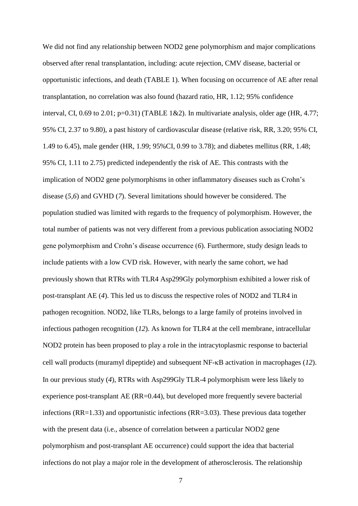We did not find any relationship between NOD2 gene polymorphism and major complications observed after renal transplantation, including: acute rejection, CMV disease, bacterial or opportunistic infections, and death (TABLE 1). When focusing on occurrence of AE after renal transplantation, no correlation was also found (hazard ratio, HR, 1.12; 95% confidence interval, CI, 0.69 to 2.01;  $p=0.31$ ) (TABLE 1&2). In multivariate analysis, older age (HR, 4.77; 95% CI, 2.37 to 9.80), a past history of cardiovascular disease (relative risk, RR, 3.20; 95% CI, 1.49 to 6.45), male gender (HR, 1.99; 95%CI, 0.99 to 3.78); and diabetes mellitus (RR, 1.48; 95% CI, 1.11 to 2.75) predicted independently the risk of AE. This contrasts with the implication of NOD2 gene polymorphisms in other inflammatory diseases such as Crohn's disease (*5,6*) and GVHD (*7*). Several limitations should however be considered. The population studied was limited with regards to the frequency of polymorphism. However, the total number of patients was not very different from a previous publication associating NOD2 gene polymorphism and Crohn's disease occurrence (*6*). Furthermore, study design leads to include patients with a low CVD risk. However, with nearly the same cohort, we had previously shown that RTRs with TLR4 Asp299Gly polymorphism exhibited a lower risk of post-transplant AE (*4*). This led us to discuss the respective roles of NOD2 and TLR4 in pathogen recognition. NOD2, like TLRs, belongs to a large family of proteins involved in infectious pathogen recognition (*12*). As known for TLR4 at the cell membrane, intracellular NOD2 protein has been proposed to play a role in the intracytoplasmic response to bacterial cell wall products (muramyl dipeptide) and subsequent NF- $\kappa$ B activation in macrophages (12). In our previous study (*4*), RTRs with Asp299Gly TLR-4 polymorphism were less likely to experience post-transplant AE (RR=0.44), but developed more frequently severe bacterial infections (RR=1.33) and opportunistic infections (RR=3.03). These previous data together with the present data (i.e., absence of correlation between a particular NOD2 gene polymorphism and post-transplant AE occurrence) could support the idea that bacterial infections do not play a major role in the development of atherosclerosis. The relationship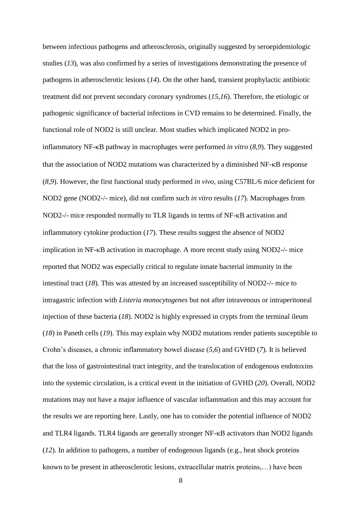between infectious pathogens and atherosclerosis, originally suggested by seroepidemiologic studies (*13*), was also confirmed by a series of investigations demonstrating the presence of pathogens in atherosclerotic lesions (*14*). On the other hand, transient prophylactic antibiotic treatment did not prevent secondary coronary syndromes (*15,16*). Therefore, the etiologic or pathogenic significance of bacterial infections in CVD remains to be determined. Finally, the functional role of NOD2 is still unclear. Most studies which implicated NOD2 in proinflammatory NF- $\kappa$ B pathway in macrophages were performed *in vitro* (8,9). They suggested that the association of NOD2 mutations was characterized by a diminished NF- $\kappa$ B response (*8,9*). However, the first functional study performed *in vivo*, using C57BL/6 mice deficient for NOD2 gene (NOD2-/- mice), did not confirm such *in vitro* results (*17*). Macrophages from NOD2-/- mice responded normally to TLR ligands in terms of NF- $\kappa$ B activation and inflammatory cytokine production (*17*). These results suggest the absence of NOD2 implication in  $NF$ - $\kappa$ B activation in macrophage. A more recent study using  $NOD2$ -/- mice reported that NOD2 was especially critical to regulate innate bacterial immunity in the intestinal tract (*18*). This was attested by an increased susceptibility of NOD2-/- mice to intragastric infection with *Listeria monocytogenes* but not after intravenous or intraperitoneal injection of these bacteria (*18*). NOD2 is highly expressed in crypts from the terminal ileum (*18*) in Paneth cells (*19*). This may explain why NOD2 mutations render patients susceptible to Crohn's diseases, a chronic inflammatory bowel disease (*5,6*) and GVHD (*7*). It is believed that the loss of gastrointestinal tract integrity, and the translocation of endogenous endotoxins into the systemic circulation, is a critical event in the initiation of GVHD (*20*). Overall, NOD2 mutations may not have a major influence of vascular inflammation and this may account for the results we are reporting here. Lastly, one has to consider the potential influence of NOD2 and TLR4 ligands. TLR4 ligands are generally stronger  $NF$ - $\kappa$ B activators than NOD2 ligands (*12*). In addition to pathogens, a number of endogenous ligands (e.g., heat shock proteins known to be present in atherosclerotic lesions, extracellular matrix proteins,…) have been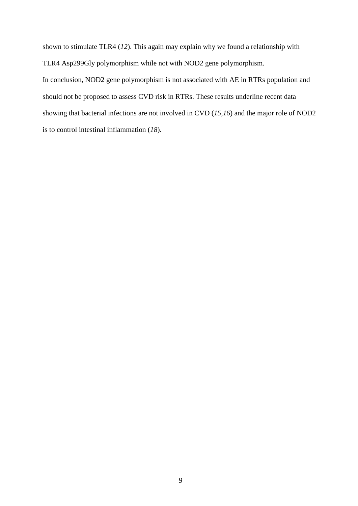shown to stimulate TLR4 (*12*). This again may explain why we found a relationship with TLR4 Asp299Gly polymorphism while not with NOD2 gene polymorphism. In conclusion, NOD2 gene polymorphism is not associated with AE in RTRs population and should not be proposed to assess CVD risk in RTRs. These results underline recent data

showing that bacterial infections are not involved in CVD (*15,16*) and the major role of NOD2

is to control intestinal inflammation (*18*).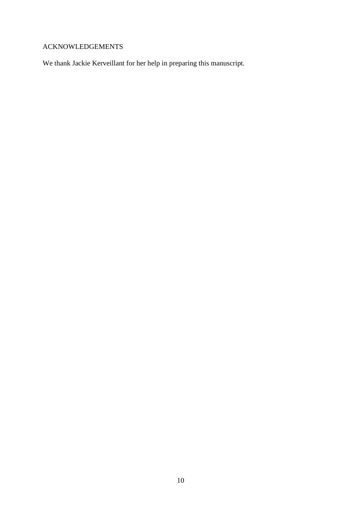## ACKNOWLEDGEMENTS

We thank Jackie Kerveillant for her help in preparing this manuscript.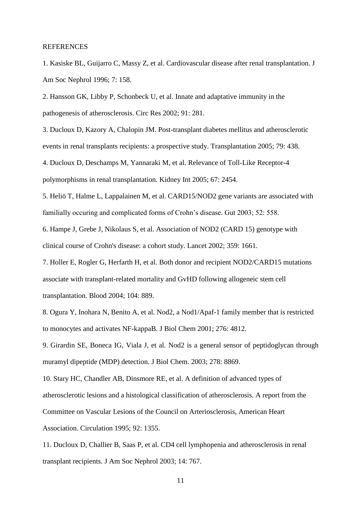#### REFERENCES

1. Kasiske BL, Guijarro C, Massy Z, et al. Cardiovascular disease after renal transplantation. J Am Soc Nephrol 1996; 7: 158.

2. Hansson GK, Libby P, Schonbeck U, et al. Innate and adaptative immunity in the pathogenesis of atherosclerosis. Circ Res 2002; 91: 281.

3. Ducloux D, Kazory A, Chalopin JM. Post-transplant diabetes mellitus and atherosclerotic events in renal transplants recipients: a prospective study. Transplantation 2005; 79: 438.

4. Ducloux D, Deschamps M, Yannaraki M, et al. Relevance of Toll-Like Receptor-4 polymorphisms in renal transplantation. Kidney Int 2005; 67: 2454.

5. Heliö T, Halme L, Lappalainen M, et al. CARD15/NOD2 gene variants are associated with familially occuring and complicated forms of Crohn's disease. Gut 2003; 52: 558.

6. [Hampe J,](http://www.ncbi.nlm.nih.gov/entrez/query.fcgi?db=pubmed&cmd=Search&term=%22Hampe+J%22%5BAuthor%5D) [Grebe J,](http://www.ncbi.nlm.nih.gov/entrez/query.fcgi?db=pubmed&cmd=Search&term=%22Grebe+J%22%5BAuthor%5D) [Nikolaus S,](http://www.ncbi.nlm.nih.gov/entrez/query.fcgi?db=pubmed&cmd=Search&term=%22Nikolaus+S%22%5BAuthor%5D) et al. Association of NOD2 (CARD 15) genotype with clinical course of Crohn's disease: a cohort study. Lancet 2002; 359: 1661.

7. Holler E, Rogler G, Herfarth H, et al. Both donor and recipient NOD2/CARD15 mutations associate with transplant-related mortality and GvHD following allogeneic stem cell transplantation. Blood 2004; 104: 889.

8. Ogura Y, Inohara N, Benito A, et al. Nod2, a Nod1/Apaf-1 family member that is restricted to monocytes and activates NF-kappaB. J Biol Chem 2001; 276: 4812.

9. [Girardin SE,](http://www.ncbi.nlm.nih.gov.gate2.inist.fr/entrez/query.fcgi?db=pubmed&cmd=Search&term=%22Girardin+SE%22%5BAuthor%5D) [Boneca IG,](http://www.ncbi.nlm.nih.gov.gate2.inist.fr/entrez/query.fcgi?db=pubmed&cmd=Search&term=%22Boneca+IG%22%5BAuthor%5D) [Viala J,](http://www.ncbi.nlm.nih.gov.gate2.inist.fr/entrez/query.fcgi?db=pubmed&cmd=Search&term=%22Viala+J%22%5BAuthor%5D) et al. Nod2 is a general sensor of peptidoglycan through muramyl dipeptide (MDP) detection. J Biol Chem. 2003; 278: 8869.

10. [Stary HC,](http://www.ncbi.nlm.nih.gov.gate2.inist.fr/entrez/query.fcgi?db=pubmed&cmd=Search&term=%22Stary+HC%22%5BAuthor%5D) [Chandler AB,](http://www.ncbi.nlm.nih.gov.gate2.inist.fr/entrez/query.fcgi?db=pubmed&cmd=Search&term=%22Chandler+AB%22%5BAuthor%5D) [Dinsmore RE,](http://www.ncbi.nlm.nih.gov.gate2.inist.fr/entrez/query.fcgi?db=pubmed&cmd=Search&term=%22Dinsmore+RE%22%5BAuthor%5D) et al. A definition of advanced types of atherosclerotic lesions and a histological classification of atherosclerosis. A report from the Committee on Vascular Lesions of the Council on Arteriosclerosis, American Heart Association. Circulation 1995; 92: 1355.

11. Ducloux D, Challier B, Saas P, et al. CD4 cell lymphopenia and atherosclerosis in renal transplant recipients. J Am Soc Nephrol 2003; 14: 767.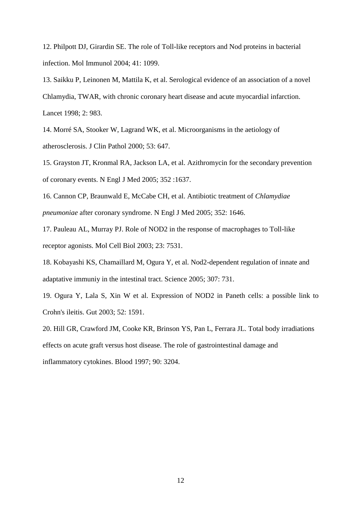12. Philpott DJ, Girardin SE. The role of Toll-like receptors and Nod proteins in bacterial infection. Mol Immunol 2004; 41: 1099.

13. Saikku P, Leinonen M, Mattila K, et al. Serological evidence of an association of a novel Chlamydia, TWAR, with chronic coronary heart disease and acute myocardial infarction. Lancet 1998; 2: 983.

14. Morré SA, Stooker W, Lagrand WK, et al. Microorganisms in the aetiology of atherosclerosis. J Clin Pathol 2000; 53: 647.

15. Grayston JT, Kronmal RA, Jackson LA, et al. Azithromycin for the secondary prevention of coronary events. N Engl J Med 2005; 352 :1637.

16. Cannon CP, Braunwald E, McCabe CH, et al. Antibiotic treatment of *Chlamydiae pneumoniae* after coronary syndrome. N Engl J Med 2005; 352: 1646.

17. Pauleau AL, Murray PJ. Role of NOD2 in the response of macrophages to Toll-like receptor agonists. Mol Cell Biol 2003; 23: 7531.

18. Kobayashi KS, Chamaillard M, Ogura Y, et al. Nod2-dependent regulation of innate and adaptative immuniy in the intestinal tract. Science 2005; 307: 731.

19. Ogura Y, Lala S, Xin W et al. Expression of NOD2 in Paneth cells: a possible link to Crohn's ileitis. Gut 2003; 52: 1591.

20. Hill GR, Crawford JM, Cooke KR, Brinson YS, Pan L, Ferrara JL. Total body irradiations effects on acute graft versus host disease. The role of gastrointestinal damage and inflammatory cytokines. Blood 1997; 90: 3204.

12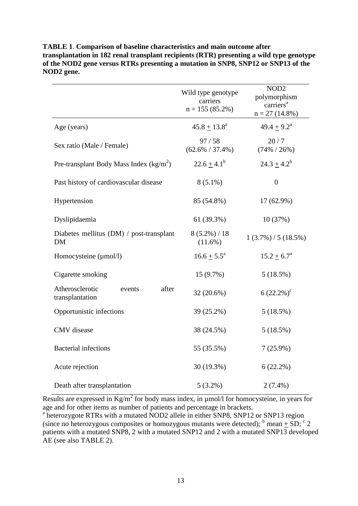|                                                       | Wild type genotype<br>carriers<br>$n = 155(85.2\%)$ | NOD <sub>2</sub><br>polymorphism<br>carriers <sup>a</sup><br>$n = 27(14.8\%)$ |  |
|-------------------------------------------------------|-----------------------------------------------------|-------------------------------------------------------------------------------|--|
| Age (years)                                           | $45.8 + 13.8^a$                                     | $49.4 + 9.2^a$                                                                |  |
| Sex ratio (Male / Female)                             | 97/58<br>$(62.6\% / 37.4\%)$                        | 20/7<br>$(74\% / 26\%)$                                                       |  |
| Pre-transplant Body Mass Index $(kg/m^2)$             | $22.6 \pm 4.1^b$                                    | $24.3 \pm 4.2^b$                                                              |  |
| Past history of cardiovascular disease                | $8(5.1\%)$                                          | $\boldsymbol{0}$                                                              |  |
| Hypertension                                          | 85 (54.8%)                                          | 17 (62.9%)                                                                    |  |
| Dyslipidaemia                                         | 61 (39.3%)                                          | 10(37%)                                                                       |  |
| Diabetes mellitus (DM) / post-transplant<br><b>DM</b> | $8(5.2\%) / 18$<br>$(11.6\%)$                       | $1(3.7\%) / 5(18.5\%)$                                                        |  |
| Homocysteine (µmol/l)                                 | $16.6 \pm 5.5^{\circ}$                              | $15.2 \pm 6.7^{\circ}$                                                        |  |
| Cigarette smoking                                     | 15(9.7%)                                            | 5(18.5%)                                                                      |  |
| Atherosclerotic<br>after<br>events<br>transplantation | 32 (20.6%)                                          | $6(22.2\%)^c$                                                                 |  |
| Opportunistic infections                              | 39 (25.2%)                                          | 5(18.5%)                                                                      |  |
| CMV disease                                           | 38 (24.5%)                                          | 5(18.5%)                                                                      |  |
| <b>Bacterial</b> infections                           | 55 (35.5%)                                          | $7(25.9\%)$                                                                   |  |
| Acute rejection                                       | 30 (19.3%)                                          | 6(22.2%)                                                                      |  |
| Death after transplantation                           | $5(3.2\%)$                                          | $2(7.4\%)$                                                                    |  |

**TABLE 1**. **Comparison of baseline characteristics and main outcome after transplantation in 182 renal transplant recipients (RTR) presenting a wild type genotype of the NOD2 gene versus RTRs presenting a mutation in SNP8, SNP12 or SNP13 of the NOD2 gene.**

Results are expressed in  $Kg/m^2$  for body mass index, in  $\mu$ mol/l for homocysteine, in years for age and for other items as number of patients and percentage in brackets.

<sup>a</sup> heterozygote RTRs with a mutated NOD2 allele in either SNP8, SNP12 or SNP13 region (since no heterozygous composites or homozygous mutants were detected);  $\frac{b}{2}$  mean  $\pm$  SD;  $\frac{c}{2}$ patients with a mutated SNP8, 2 with a mutated SNP12 and 2 with a mutated SNP13 developed AE (see also TABLE 2).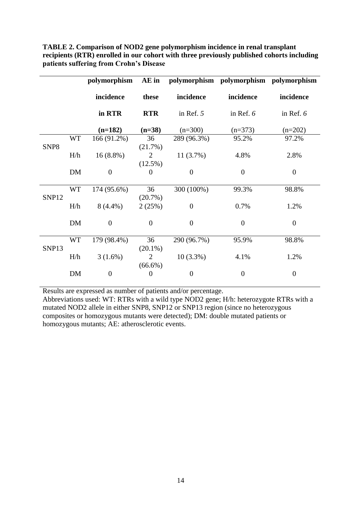|                  |           | polymorphism   | AE in                        |                | polymorphism polymorphism polymorphism |                  |
|------------------|-----------|----------------|------------------------------|----------------|----------------------------------------|------------------|
|                  |           | incidence      | these                        | incidence      | incidence                              | incidence        |
|                  |           | in RTR         | <b>RTR</b>                   | in Ref. $5$    | in Ref. $6$                            | in Ref. $6$      |
|                  |           | $(n=182)$      | $(n=38)$                     | $(n=300)$      | $(n=373)$                              | $(n=202)$        |
| SNP <sub>8</sub> | <b>WT</b> | 166 (91.2%)    | 36<br>(21.7%)                | 289 (96.3%)    | 95.2%                                  | 97.2%            |
|                  | H/h       | $16(8.8\%)$    | $\overline{2}$<br>$(12.5\%)$ | 11(3.7%)       | 4.8%                                   | 2.8%             |
|                  | DM        | $\overline{0}$ | $\theta$                     | $\overline{0}$ | $\boldsymbol{0}$                       | $\boldsymbol{0}$ |
| SNP12            | <b>WT</b> | 174 (95.6%)    | 36<br>(20.7%)                | 300 (100%)     | 99.3%                                  | 98.8%            |
|                  | H/h       | $8(4.4\%)$     | 2(25%)                       | $\overline{0}$ | 0.7%                                   | 1.2%             |
|                  | <b>DM</b> | $\overline{0}$ | $\mathbf{0}$                 | $\overline{0}$ | $\overline{0}$                         | $\overline{0}$   |
| SNP13            | <b>WT</b> | 179 (98.4%)    | 36<br>$(20.1\%)$             | 290 (96.7%)    | 95.9%                                  | 98.8%            |
|                  | H/h       | $3(1.6\%)$     | 2<br>$(66.6\%)$              | $10(3.3\%)$    | 4.1%                                   | 1.2%             |
|                  | <b>DM</b> | $\overline{0}$ | $\overline{0}$               | $\overline{0}$ | $\overline{0}$                         | $\overline{0}$   |

**TABLE 2. Comparison of NOD2 gene polymorphism incidence in renal transplant recipients (RTR) enrolled in our cohort with three previously published cohorts including patients suffering from Crohn's Disease**

Results are expressed as number of patients and/or percentage.

Abbreviations used: WT: RTRs with a wild type NOD2 gene; H/h: heterozygote RTRs with a mutated NOD2 allele in either SNP8, SNP12 or SNP13 region (since no heterozygous composites or homozygous mutants were detected); DM: double mutated patients or homozygous mutants; AE: atherosclerotic events.